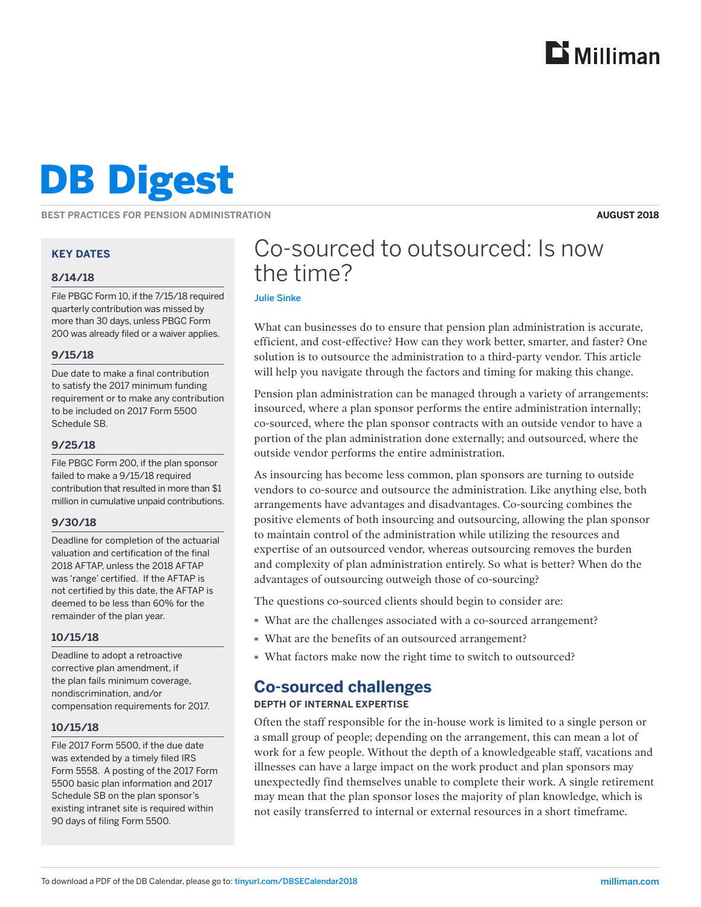

# DB Digest

**BEST PRACTICES FOR PENSION ADMINISTRATION**

**AUGUST 2018**

#### **KEY DATES**

#### **8/14/18**

File PBGC Form 10, if the 7/15/18 required quarterly contribution was missed by more than 30 days, unless PBGC Form 200 was already filed or a waiver applies.

#### **9/15/18**

Due date to make a final contribution to satisfy the 2017 minimum funding requirement or to make any contribution to be included on 2017 Form 5500 Schedule SB.

#### **9/25/18**

File PBGC Form 200, if the plan sponsor failed to make a 9/15/18 required contribution that resulted in more than \$1 million in cumulative unpaid contributions.

#### **9/30/18**

Deadline for completion of the actuarial valuation and certification of the final 2018 AFTAP, unless the 2018 AFTAP was 'range' certified. If the AFTAP is not certified by this date, the AFTAP is deemed to be less than 60% for the remainder of the plan year.

#### **10/15/18**

Deadline to adopt a retroactive corrective plan amendment, if the plan fails minimum coverage, nondiscrimination, and/or compensation requirements for 2017.

#### **10/15/18**

File 2017 Form 5500, if the due date was extended by a timely filed IRS Form 5558. A posting of the 2017 Form 5500 basic plan information and 2017 Schedule SB on the plan sponsor's existing intranet site is required within 90 days of filing Form 5500.

# Co-sourced to outsourced: Is now the time?

#### Julie Sinke

What can businesses do to ensure that pension plan administration is accurate, efficient, and cost-effective? How can they work better, smarter, and faster? One solution is to outsource the administration to a third-party vendor. This article will help you navigate through the factors and timing for making this change.

Pension plan administration can be managed through a variety of arrangements: insourced, where a plan sponsor performs the entire administration internally; co-sourced, where the plan sponsor contracts with an outside vendor to have a portion of the plan administration done externally; and outsourced, where the outside vendor performs the entire administration.

As insourcing has become less common, plan sponsors are turning to outside vendors to co-source and outsource the administration. Like anything else, both arrangements have advantages and disadvantages. Co-sourcing combines the positive elements of both insourcing and outsourcing, allowing the plan sponsor to maintain control of the administration while utilizing the resources and expertise of an outsourced vendor, whereas outsourcing removes the burden and complexity of plan administration entirely. So what is better? When do the advantages of outsourcing outweigh those of co-sourcing?

The questions co-sourced clients should begin to consider are:

- · What are the challenges associated with a co-sourced arrangement?
- · What are the benefits of an outsourced arrangement?
- · What factors make now the right time to switch to outsourced?

## **Co-sourced challenges**

#### **DEPTH OF INTERNAL EXPERTISE**

Often the staff responsible for the in-house work is limited to a single person or a small group of people; depending on the arrangement, this can mean a lot of work for a few people. Without the depth of a knowledgeable staff, vacations and illnesses can have a large impact on the work product and plan sponsors may unexpectedly find themselves unable to complete their work. A single retirement may mean that the plan sponsor loses the majority of plan knowledge, which is not easily transferred to internal or external resources in a short timeframe.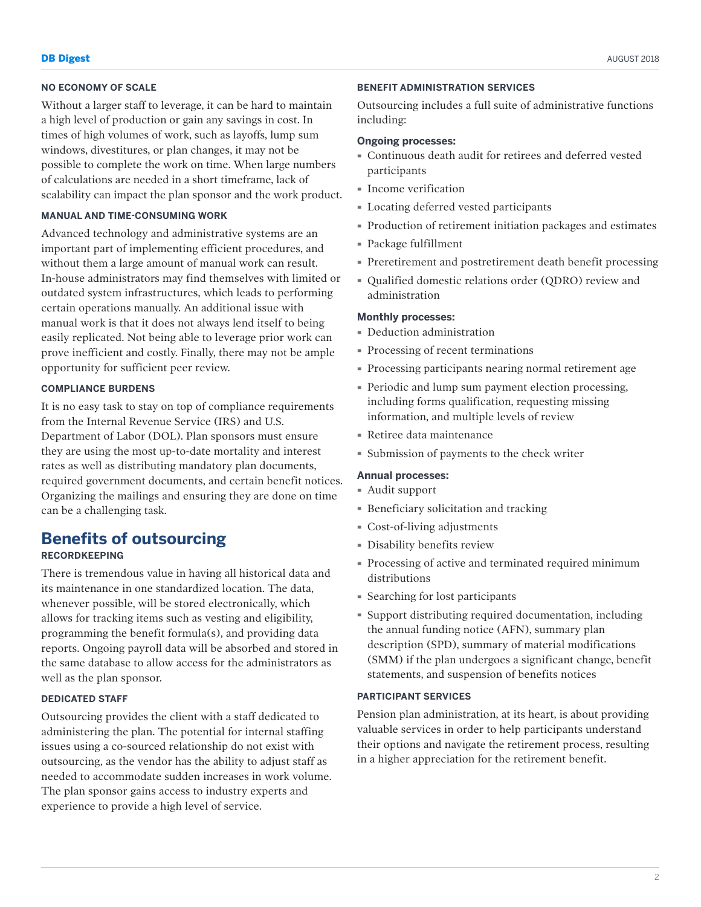#### **NO ECONOMY OF SCALE**

Without a larger staff to leverage, it can be hard to maintain a high level of production or gain any savings in cost. In times of high volumes of work, such as layoffs, lump sum windows, divestitures, or plan changes, it may not be possible to complete the work on time. When large numbers of calculations are needed in a short timeframe, lack of scalability can impact the plan sponsor and the work product.

#### **MANUAL AND TIME-CONSUMING WORK**

Advanced technology and administrative systems are an important part of implementing efficient procedures, and without them a large amount of manual work can result. In-house administrators may find themselves with limited or outdated system infrastructures, which leads to performing certain operations manually. An additional issue with manual work is that it does not always lend itself to being easily replicated. Not being able to leverage prior work can prove inefficient and costly. Finally, there may not be ample opportunity for sufficient peer review.

#### **COMPLIANCE BURDENS**

It is no easy task to stay on top of compliance requirements from the Internal Revenue Service (IRS) and U.S. Department of Labor (DOL). Plan sponsors must ensure they are using the most up-to-date mortality and interest rates as well as distributing mandatory plan documents, required government documents, and certain benefit notices. Organizing the mailings and ensuring they are done on time can be a challenging task.

### **Benefits of outsourcing**

#### **RECORDKEEPING**

There is tremendous value in having all historical data and its maintenance in one standardized location. The data, whenever possible, will be stored electronically, which allows for tracking items such as vesting and eligibility, programming the benefit formula(s), and providing data reports. Ongoing payroll data will be absorbed and stored in the same database to allow access for the administrators as well as the plan sponsor.

#### **DEDICATED STAFF**

Outsourcing provides the client with a staff dedicated to administering the plan. The potential for internal staffing issues using a co-sourced relationship do not exist with outsourcing, as the vendor has the ability to adjust staff as needed to accommodate sudden increases in work volume. The plan sponsor gains access to industry experts and experience to provide a high level of service.

#### **BENEFIT ADMINISTRATION SERVICES**

Outsourcing includes a full suite of administrative functions including:

#### **Ongoing processes:**

- · Continuous death audit for retirees and deferred vested participants
- · Income verification
- · Locating deferred vested participants
- · Production of retirement initiation packages and estimates
- · Package fulfillment
- · Preretirement and postretirement death benefit processing
- · Qualified domestic relations order (QDRO) review and administration

#### **Monthly processes:**

- · Deduction administration
- · Processing of recent terminations
- · Processing participants nearing normal retirement age
- · Periodic and lump sum payment election processing, including forms qualification, requesting missing information, and multiple levels of review
- · Retiree data maintenance
- · Submission of payments to the check writer

#### **Annual processes:**

- · Audit support
- · Beneficiary solicitation and tracking
- · Cost-of-living adjustments
- · Disability benefits review
- · Processing of active and terminated required minimum distributions
- · Searching for lost participants
- · Support distributing required documentation, including the annual funding notice (AFN), summary plan description (SPD), summary of material modifications (SMM) if the plan undergoes a significant change, benefit statements, and suspension of benefits notices

#### **PARTICIPANT SERVICES**

Pension plan administration, at its heart, is about providing valuable services in order to help participants understand their options and navigate the retirement process, resulting in a higher appreciation for the retirement benefit.